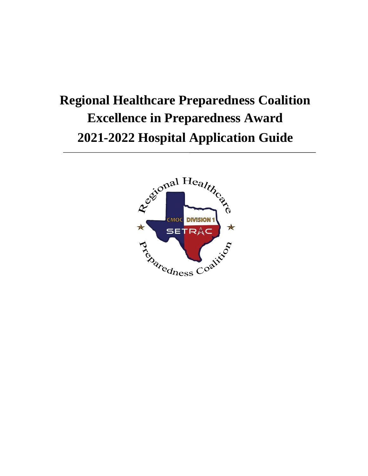# **Regional Healthcare Preparedness Coalition Excellence in Preparedness Award 2021-2022 Hospital Application Guide**

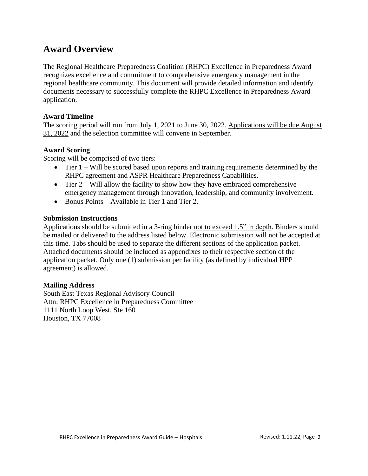# **Award Overview**

The Regional Healthcare Preparedness Coalition (RHPC) Excellence in Preparedness Award recognizes excellence and commitment to comprehensive emergency management in the regional healthcare community. This document will provide detailed information and identify documents necessary to successfully complete the RHPC Excellence in Preparedness Award application.

### **Award Timeline**

The scoring period will run from July 1, 2021 to June 30, 2022. Applications will be due August 31, 2022 and the selection committee will convene in September.

### **Award Scoring**

Scoring will be comprised of two tiers:

- Tier 1 Will be scored based upon reports and training requirements determined by the RHPC agreement and ASPR Healthcare Preparedness Capabilities.
- Tier  $2 Will$  allow the facility to show how they have embraced comprehensive emergency management through innovation, leadership, and community involvement.
- Bonus Points Available in Tier 1 and Tier 2.

### **Submission Instructions**

Applications should be submitted in a 3-ring binder not to exceed 1.5" in depth. Binders should be mailed or delivered to the address listed below. Electronic submission will not be accepted at this time. Tabs should be used to separate the different sections of the application packet. Attached documents should be included as appendixes to their respective section of the application packet. Only one (1) submission per facility (as defined by individual HPP agreement) is allowed.

### **Mailing Address**

South East Texas Regional Advisory Council Attn: RHPC Excellence in Preparedness Committee 1111 North Loop West, Ste 160 Houston, TX 77008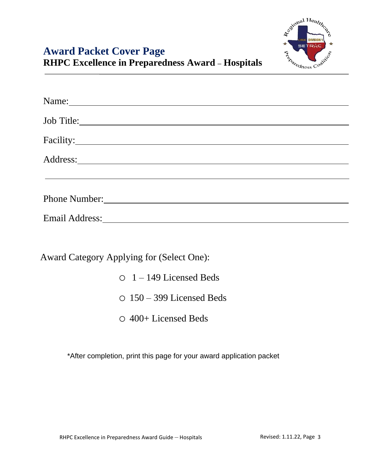

# **Award Packet Cover Page RHPC Excellence in Preparedness Award – Hospitals**

| Name:      |  |  |
|------------|--|--|
| Job Title: |  |  |
|            |  |  |
|            |  |  |
|            |  |  |
|            |  |  |
|            |  |  |
|            |  |  |

Award Category Applying for (Select One):

- $\circ$  1 149 Licensed Beds
- o 150 399 Licensed Beds
- o 400+ Licensed Beds

\*After completion, print this page for your award application packet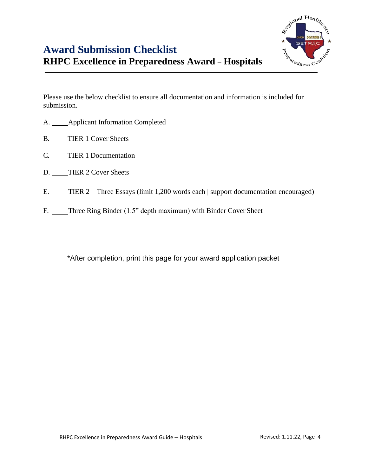

Please use the below checklist to ensure all documentation and information is included for submission.

- A. Applicant Information Completed
- B. TIER 1 Cover Sheets
- C. TIER 1 Documentation
- D. TIER 2 Cover Sheets
- E. TIER 2 Three Essays (limit 1,200 words each | support documentation encouraged)
- F. Three Ring Binder (1.5" depth maximum) with Binder Cover Sheet

\*After completion, print this page for your award application packet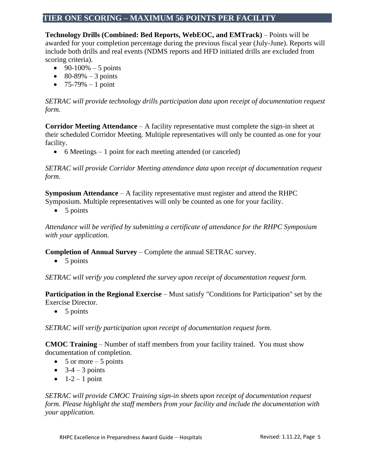# **TIER ONE SCORING – MAXIMUM 56 POINTS PER FACILITY**

**Technology Drills (Combined: Bed Reports, WebEOC, and EMTrack)** – Points will be awarded for your completion percentage during the previous fiscal year (July-June). Reports will include both drills and real events (NDMS reports and HFD initiated drills are excluded from scoring criteria).

- 90-100% 5 points
- 80-89% 3 points
- 75-79%  $-1$  point

*SETRAC will provide technology drills participation data upon receipt of documentation request form.*

**Corridor Meeting Attendance** – A facility representative must complete the sign-in sheet at their scheduled Corridor Meeting. Multiple representatives will only be counted as one for your facility.

• 6 Meetings – 1 point for each meeting attended (or canceled)

*SETRAC will provide Corridor Meeting attendance data upon receipt of documentation request form.*

**Symposium Attendance** – A facility representative must register and attend the RHPC Symposium. Multiple representatives will only be counted as one for your facility.

• 5 points

*Attendance will be verified by submitting a certificate of attendance for the RHPC Symposium with your application.*

**Completion of Annual Survey** – Complete the annual SETRAC survey.

 $\bullet$  5 points

*SETRAC will verify you completed the survey upon receipt of documentation request form.*

**Participation in the Regional Exercise** – Must satisfy "Conditions for Participation" set by the Exercise Director.

 $\bullet$  5 points

*SETRAC will verify participation upon receipt of documentation request form.*

**CMOC Training** – Number of staff members from your facility trained. You must show documentation of completion.

- $5 \text{ or more} 5 \text{ points}$
- $3-4-3$  points
- $\bullet$  1-2 1 point

*SETRAC will provide CMOC Training sign-in sheets upon receipt of documentation request form. Please highlight the staff members from your facility and include the documentation with your application.*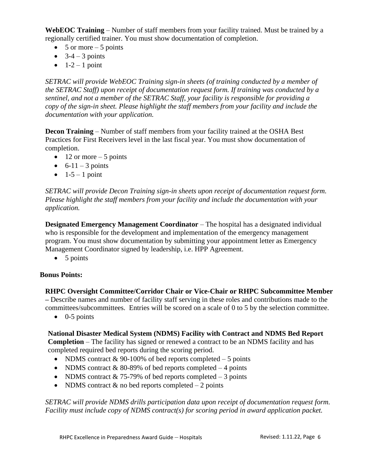**WebEOC Training** – Number of staff members from your facility trained. Must be trained by a regionally certified trainer. You must show documentation of completion.

- $5 \text{ or more} 5 \text{ points}$
- $3-4-3$  points
- $\bullet$  1-2 1 point

*SETRAC will provide WebEOC Training sign-in sheets (of training conducted by a member of the SETRAC Staff) upon receipt of documentation request form. If training was conducted by a sentinel, and not a member of the SETRAC Staff, your facility is responsible for providing a copy of the sign-in sheet. Please highlight the staff members from your facility and include the documentation with your application.*

**Decon Training** – Number of staff members from your facility trained at the OSHA Best Practices for First Receivers level in the last fiscal year. You must show documentation of completion.

- $\bullet$  12 or more 5 points
- $6-11-3$  points
- $\bullet$  1-5 1 point

*SETRAC will provide Decon Training sign-in sheets upon receipt of documentation request form. Please highlight the staff members from your facility and include the documentation with your application.*

**Designated Emergency Management Coordinator** – The hospital has a designated individual who is responsible for the development and implementation of the emergency management program. You must show documentation by submitting your appointment letter as Emergency Management Coordinator signed by leadership, i.e. HPP Agreement.

• 5 points

## **Bonus Points:**

**RHPC Oversight Committee/Corridor Chair or Vice-Chair or RHPC Subcommittee Member –** Describe names and number of facility staff serving in these roles and contributions made to the committees/subcommittees. Entries will be scored on a scale of 0 to 5 by the selection committee.

 $\bullet$  0-5 points

## **National Disaster Medical System (NDMS) Facility with Contract and NDMS Bed Report**

**Completion** – The facility has signed or renewed a contract to be an NDMS facility and has completed required bed reports during the scoring period.

- NDMS contract  $& 90-100\%$  of bed reports completed 5 points
- NDMS contract  $& 80-89\%$  of bed reports completed  $-4$  points
- NDMS contract  $& 75-79\%$  of bed reports completed  $-3$  points
- NDMS contract  $&$  no bed reports completed  $-2$  points

*SETRAC will provide NDMS drills participation data upon receipt of documentation request form. Facility must include copy of NDMS contract(s) for scoring period in award application packet.*